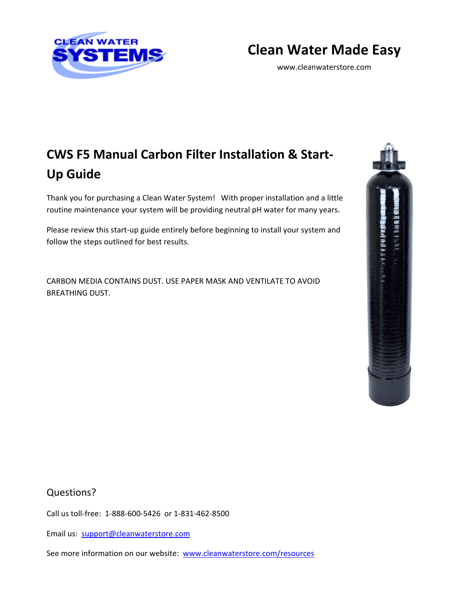

## **Clean Water Made Easy**

www.cleanwaterstore.com

# **CWS F5 Manual Carbon Filter Installation & Start‐ Up Guide**

Thank you for purchasing a Clean Water System! With proper installation and a little routine maintenance your system will be providing neutral pH water for many years.

Please review this start-up guide entirely before beginning to install your system and follow the steps outlined for best results.

CARBON MEDIA CONTAINS DUST. USE PAPER MASK AND VENTILATE TO AVOID BREATHING DUST.



Questions?

Call us toll‐free: 1‐888‐600‐5426 or 1‐831‐462‐8500

Email us: support@cleanwaterstore.com

See more information on our website: www.cleanwaterstore.com/resources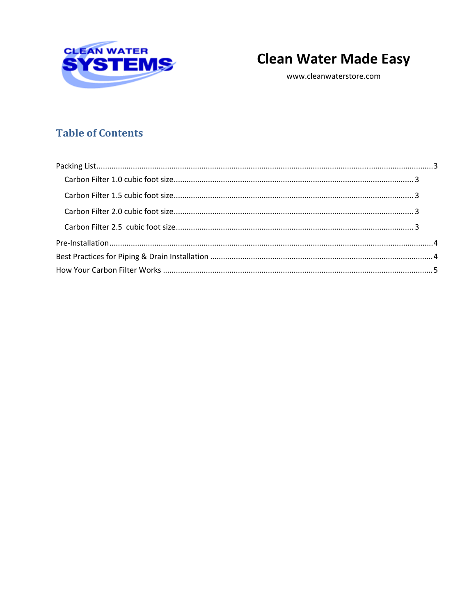

# **Clean Water Made Easy**

www.cleanwaterstore.com

## **Table of Contents**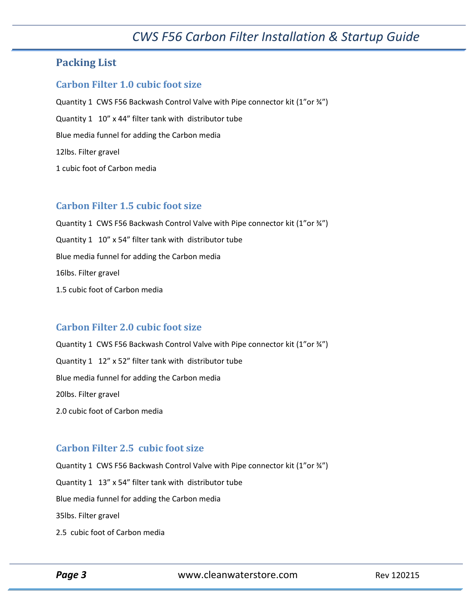## *CWS F56 Carbon Filter Installation & Startup Guide*

### **Packing List**

#### **Carbon Filter 1.0 cubic foot size**

Quantity 1 CWS F56 Backwash Control Valve with Pipe connector kit (1"or ¾") Quantity 1 10" x 44" filter tank with distributor tube Blue media funnel for adding the Carbon media 12lbs. Filter gravel 1 cubic foot of Carbon media

#### **Carbon Filter 1.5 cubic foot size**

Quantity 1 CWS F56 Backwash Control Valve with Pipe connector kit (1"or 34") Quantity 1 10" x 54" filter tank with distributor tube Blue media funnel for adding the Carbon media 16lbs. Filter gravel 1.5 cubic foot of Carbon media

#### **Carbon Filter 2.0 cubic foot size**

Quantity 1 CWS F56 Backwash Control Valve with Pipe connector kit (1"or 34") Quantity 1 12" x 52" filter tank with distributor tube Blue media funnel for adding the Carbon media 20lbs. Filter gravel 2.0 cubic foot of Carbon media

#### **Carbon Filter 2.5 cubic foot size**

Quantity 1 CWS F56 Backwash Control Valve with Pipe connector kit (1"or ¾") Quantity 1 13" x 54" filter tank with distributor tube Blue media funnel for adding the Carbon media 35lbs. Filter gravel 2.5 cubic foot of Carbon media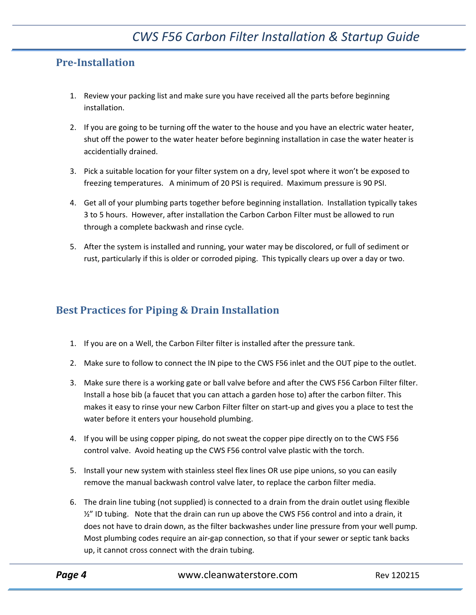### **Pre‐Installation**

- 1. Review your packing list and make sure you have received all the parts before beginning installation.
- 2. If you are going to be turning off the water to the house and you have an electric water heater, shut off the power to the water heater before beginning installation in case the water heater is accidentially drained.
- 3. Pick a suitable location for your filter system on a dry, level spot where it won't be exposed to freezing temperatures. A minimum of 20 PSI is required. Maximum pressure is 90 PSI.
- 4. Get all of your plumbing parts together before beginning installation. Installation typically takes 3 to 5 hours. However, after installation the Carbon Carbon Filter must be allowed to run through a complete backwash and rinse cycle.
- 5. After the system is installed and running, your water may be discolored, or full of sediment or rust, particularly if this is older or corroded piping. This typically clears up over a day or two.

## **Best Practices for Piping & Drain Installation**

- 1. If you are on a Well, the Carbon Filter filter is installed after the pressure tank.
- 2. Make sure to follow to connect the IN pipe to the CWS F56 inlet and the OUT pipe to the outlet.
- 3. Make sure there is a working gate or ball valve before and after the CWS F56 Carbon Filter filter. Install a hose bib (a faucet that you can attach a garden hose to) after the carbon filter. This makes it easy to rinse your new Carbon Filter filter on start‐up and gives you a place to test the water before it enters your household plumbing.
- 4. If you will be using copper piping, do not sweat the copper pipe directly on to the CWS F56 control valve. Avoid heating up the CWS F56 control valve plastic with the torch.
- 5. Install your new system with stainless steel flex lines OR use pipe unions, so you can easily remove the manual backwash control valve later, to replace the carbon filter media.
- 6. The drain line tubing (not supplied) is connected to a drain from the drain outlet using flexible  $\frac{1}{2}$ " ID tubing. Note that the drain can run up above the CWS F56 control and into a drain, it does not have to drain down, as the filter backwashes under line pressure from your well pump. Most plumbing codes require an air‐gap connection, so that if your sewer or septic tank backs up, it cannot cross connect with the drain tubing.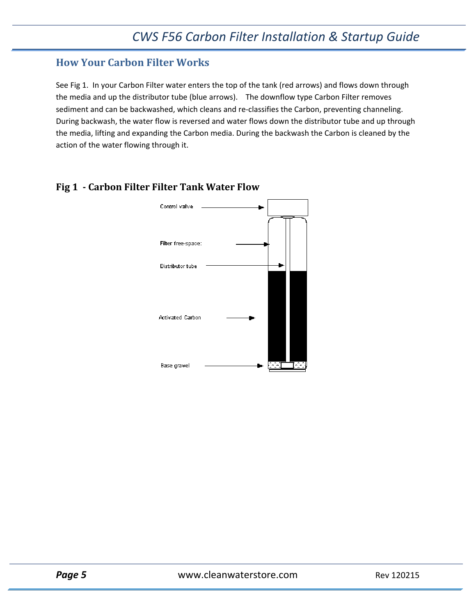## **How Your Carbon Filter Works**

See Fig 1. In your Carbon Filter water enters the top of the tank (red arrows) and flows down through the media and up the distributor tube (blue arrows). The downflow type Carbon Filter removes sediment and can be backwashed, which cleans and re-classifies the Carbon, preventing channeling. During backwash, the water flow is reversed and water flows down the distributor tube and up through the media, lifting and expanding the Carbon media. During the backwash the Carbon is cleaned by the action of the water flowing through it.



#### **Fig 1 ‐ Carbon Filter Filter Tank Water Flow**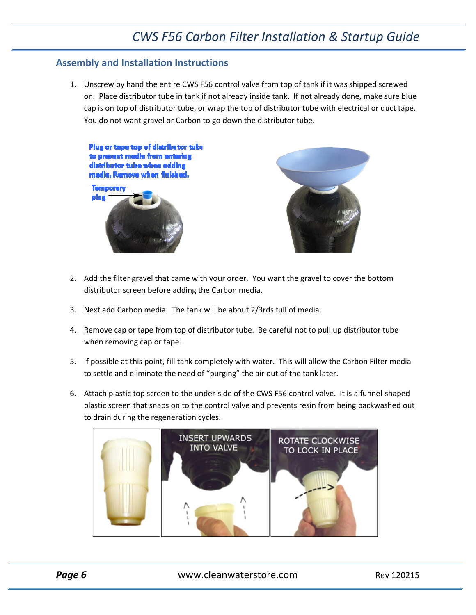#### **Assembly and Installation Instructions**

1. Unscrew by hand the entire CWS F56 control valve from top of tank if it was shipped screwed on. Place distributor tube in tank if not already inside tank. If not already done, make sure blue cap is on top of distributor tube, or wrap the top of distributor tube with electrical or duct tape. You do not want gravel or Carbon to go down the distributor tube.



- 2. Add the filter gravel that came with your order. You want the gravel to cover the bottom distributor screen before adding the Carbon media.
- 3. Next add Carbon media. The tank will be about 2/3rds full of media.
- 4. Remove cap or tape from top of distributor tube. Be careful not to pull up distributor tube when removing cap or tape.
- 5. If possible at this point, fill tank completely with water. This will allow the Carbon Filter media to settle and eliminate the need of "purging" the air out of the tank later.
- 6. Attach plastic top screen to the under‐side of the CWS F56 control valve. It is a funnel‐shaped plastic screen that snaps on to the control valve and prevents resin from being backwashed out to drain during the regeneration cycles.